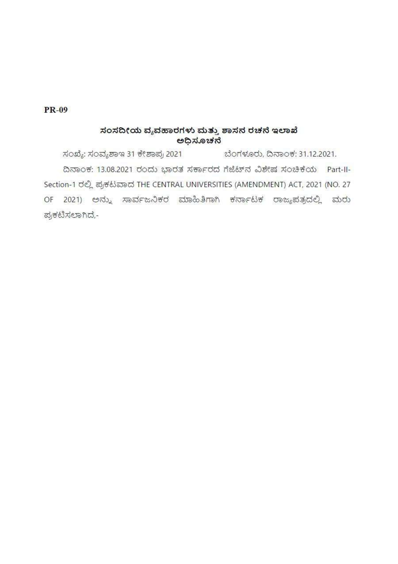## **PR-09**

# ಸಂಸದೀಯ ವ್ಯವಹಾರಗಳು ಮತ್ತು ಶಾಸನ ರಚನೆ ಇಲಾಖೆ ಅಧಿಸೂಚನೆ

ಸಂಖ್ಯೆ: ಸಂವ್ಯಶಾಇ 31 ಕೇಶಾಪ್ರ 2021 ಬೆಂಗಳೂರು, ದಿನಾಂಕ: 31.12.2021. ದಿನಾಂಕ: 13.08.2021 ರಂದು ಭಾರತ ಸರ್ಕಾರದ ಗೆಜೆಟ್ ನ ವಿಶೇಷ ಸಂಚಿಕೆಯ Part-II-Section-1 ರಲ್ಲಿ ಪ್ರಕಟವಾದ THE CENTRAL UNIVERSITIES (AMENDMENT) ACT, 2021 (NO. 27 2021) ಅನ್ನು ಸಾರ್ವಜನಿಕರ ಮಾಹಿತಿಗಾಗಿ ಕರ್ನಾಟಕ ರಾಜ್ಯಪತ್ರದಲ್ಲಿ ಮರು OF ಪ್ರಕಟಿಸಲಾಗಿದೆ,-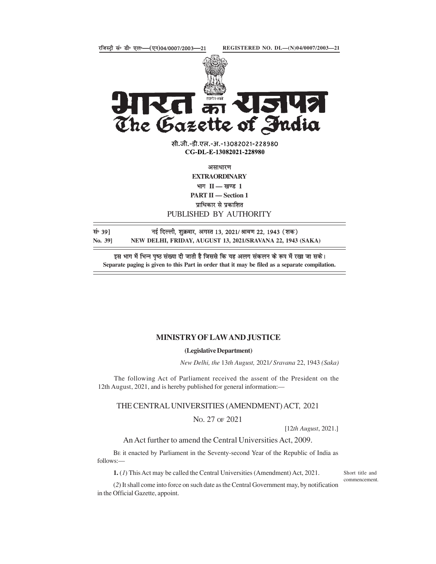



सी.जी.-डी.एल.-अ.-13082021-228980 CG-DL-E-13082021-228980

**EXTRAORDINARY** भाग $II$  - खण्ड 1 PART II - Section 1

#### PUBLISHED BY AUTHORITY

सं॰ 39] बई दिल्ली, शुक्रवार, अगस्त 13, 2021/ श्रावण 22, 1943 (शक)

Separate paging is given to this Part in order that it may be filed as a separate compilation.

### MINISTRY OF LAW AND JUSTICE

#### (Legislative Department)

New Delhi, the 13th August, 2021/ Sravana 22, 1943 (Saka)

The following Act of Parliament received the assent of the President on the 12th August, 2021, and is hereby published for general information:—

THE CENTRAL UNIVERSITIES (AMENDMENT) ACT, 2021

NO. 27 OF 2021

[12th August, 2021.]

An Act further to amend the Central Universities Act, 2009.

BE it enacted by Parliament in the Seventy-second Year of the Republic of India as follows:—

1. (1) This Act may be called the Central Universities (Amendment) Act, 2021.

Short title and commencement.

(2) It shall come into force on such date as the Central Government may, by notification in the Official Gazette, appoint.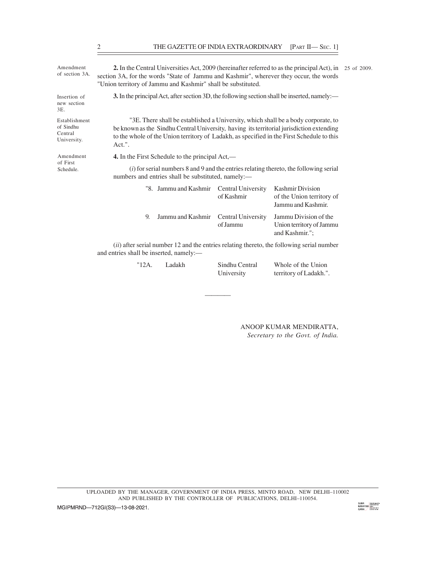| THE GAZETTE OF INDIA EXTRAORDINARY [PART II-SEC. 1]<br>2<br>2. In the Central Universities Act, 2009 (hereinafter referred to as the principal Act), in 25 of 2009.<br>section 3A, for the words "State of Jammu and Kashmir", wherever they occur, the words<br>"Union territory of Jammu and Kashmir" shall be substituted.<br>3. In the principal Act, after section 3D, the following section shall be inserted, namely:—<br>"3E. There shall be established a University, which shall be a body corporate, to<br>be known as the Sindhu Central University, having its territorial jurisdiction extending<br>to the whole of the Union territory of Ladakh, as specified in the First Schedule to this<br>Act.".<br>4. In the First Schedule to the principal Act,—<br>$(i)$ for serial numbers 8 and 9 and the entries relating thereto, the following serial<br>numbers and entries shall be substituted, namely:-<br><b>Kashmir Division</b><br>"8. Jammu and Kashmir<br><b>Central University</b><br>of Kashmir<br>of the Union territory of<br>Jammu and Kashmir.<br>Central University<br>Jammu Division of the<br>Jammu and Kashmir<br>9.<br>Union territory of Jammu<br>of Jammu<br>and Kashmir.";<br>$(ii)$ after serial number 12 and the entries relating thereto, the following serial number<br>and entries shall be inserted, namely:-<br>"12A.<br>Ladakh<br>Sindhu Central<br>Whole of the Union<br>University<br>territory of Ladakh.". |  |  |  |  |  |  |
|--------------------------------------------------------------------------------------------------------------------------------------------------------------------------------------------------------------------------------------------------------------------------------------------------------------------------------------------------------------------------------------------------------------------------------------------------------------------------------------------------------------------------------------------------------------------------------------------------------------------------------------------------------------------------------------------------------------------------------------------------------------------------------------------------------------------------------------------------------------------------------------------------------------------------------------------------------------------------------------------------------------------------------------------------------------------------------------------------------------------------------------------------------------------------------------------------------------------------------------------------------------------------------------------------------------------------------------------------------------------------------------------------------------------------------------------------------------|--|--|--|--|--|--|
|                                                                                                                                                                                                                                                                                                                                                                                                                                                                                                                                                                                                                                                                                                                                                                                                                                                                                                                                                                                                                                                                                                                                                                                                                                                                                                                                                                                                                                                              |  |  |  |  |  |  |
|                                                                                                                                                                                                                                                                                                                                                                                                                                                                                                                                                                                                                                                                                                                                                                                                                                                                                                                                                                                                                                                                                                                                                                                                                                                                                                                                                                                                                                                              |  |  |  |  |  |  |
| Amendment<br>of section 3A.<br>Insertion of<br>new section<br>3E.<br>Establishment<br>of Sindhu<br>Central<br>University.<br>Amendment<br>of First<br>Schedule.                                                                                                                                                                                                                                                                                                                                                                                                                                                                                                                                                                                                                                                                                                                                                                                                                                                                                                                                                                                                                                                                                                                                                                                                                                                                                              |  |  |  |  |  |  |
|                                                                                                                                                                                                                                                                                                                                                                                                                                                                                                                                                                                                                                                                                                                                                                                                                                                                                                                                                                                                                                                                                                                                                                                                                                                                                                                                                                                                                                                              |  |  |  |  |  |  |
|                                                                                                                                                                                                                                                                                                                                                                                                                                                                                                                                                                                                                                                                                                                                                                                                                                                                                                                                                                                                                                                                                                                                                                                                                                                                                                                                                                                                                                                              |  |  |  |  |  |  |
|                                                                                                                                                                                                                                                                                                                                                                                                                                                                                                                                                                                                                                                                                                                                                                                                                                                                                                                                                                                                                                                                                                                                                                                                                                                                                                                                                                                                                                                              |  |  |  |  |  |  |
|                                                                                                                                                                                                                                                                                                                                                                                                                                                                                                                                                                                                                                                                                                                                                                                                                                                                                                                                                                                                                                                                                                                                                                                                                                                                                                                                                                                                                                                              |  |  |  |  |  |  |
|                                                                                                                                                                                                                                                                                                                                                                                                                                                                                                                                                                                                                                                                                                                                                                                                                                                                                                                                                                                                                                                                                                                                                                                                                                                                                                                                                                                                                                                              |  |  |  |  |  |  |
|                                                                                                                                                                                                                                                                                                                                                                                                                                                                                                                                                                                                                                                                                                                                                                                                                                                                                                                                                                                                                                                                                                                                                                                                                                                                                                                                                                                                                                                              |  |  |  |  |  |  |
|                                                                                                                                                                                                                                                                                                                                                                                                                                                                                                                                                                                                                                                                                                                                                                                                                                                                                                                                                                                                                                                                                                                                                                                                                                                                                                                                                                                                                                                              |  |  |  |  |  |  |
|                                                                                                                                                                                                                                                                                                                                                                                                                                                                                                                                                                                                                                                                                                                                                                                                                                                                                                                                                                                                                                                                                                                                                                                                                                                                                                                                                                                                                                                              |  |  |  |  |  |  |
|                                                                                                                                                                                                                                                                                                                                                                                                                                                                                                                                                                                                                                                                                                                                                                                                                                                                                                                                                                                                                                                                                                                                                                                                                                                                                                                                                                                                                                                              |  |  |  |  |  |  |

ANOOP KUMAR MENDIRATTA, Secretary to the Govt. of India.